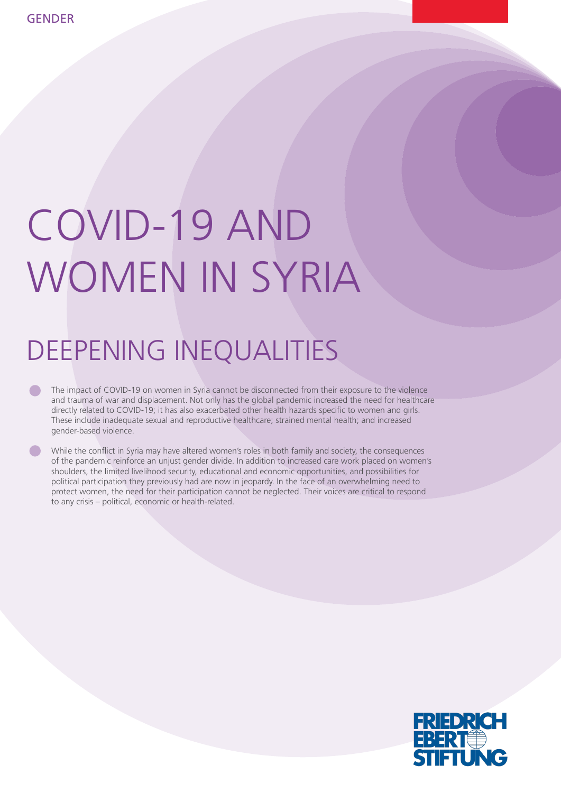# COVID-19 AND WOMEN IN SYRIA

## DEEPENING INEQUALITIES

The impact of COVID-19 on women in Syria cannot be disconnected from their exposure to the violence and trauma of war and displacement. Not only has the global pandemic increased the need for healthcare directly related to COVID-19; it has also exacerbated other health hazards specific to women and girls. These include inadequate sexual and reproductive healthcare; strained mental health; and increased gender-based violence.

While the conflict in Syria may have altered women's roles in both family and society, the consequences of the pandemic reinforce an unjust gender divide. In addition to increased care work placed on women's shoulders, the limited livelihood security, educational and economic opportunities, and possibilities for political participation they previously had are now in jeopardy. In the face of an overwhelming need to protect women, the need for their participation cannot be neglected. Their voices are critical to respond to any crisis – political, economic or health-related.

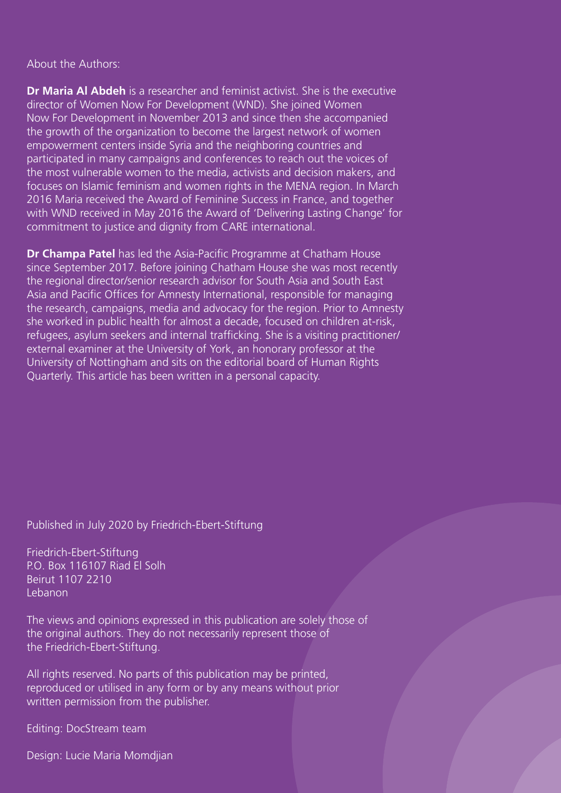About the Authors:

**Dr Maria Al Abdeh** is a researcher and feminist activist. She is the executive director of Women Now For Development (WND). She joined Women Now For Development in November 2013 and since then she accompanied the growth of the organization to become the largest network of women empowerment centers inside Syria and the neighboring countries and participated in many campaigns and conferences to reach out the voices of the most vulnerable women to the media, activists and decision makers, and focuses on Islamic feminism and women rights in the MENA region. In March 2016 Maria received the Award of Feminine Success in France, and together with WND received in May 2016 the Award of 'Delivering Lasting Change' for commitment to justice and dignity from CARE international.

**Dr Champa Patel** has led the Asia-Pacific Programme at Chatham House since September 2017. Before joining Chatham House she was most recently the regional director/senior research advisor for South Asia and South East Asia and Pacific Offices for Amnesty International, responsible for managing the research, campaigns, media and advocacy for the region. Prior to Amnesty she worked in public health for almost a decade, focused on children at-risk, refugees, asylum seekers and internal trafficking. She is a visiting practitioner/ external examiner at the University of York, an honorary professor at the University of Nottingham and sits on the editorial board of Human Rights Quarterly. This article has been written in a personal capacity.

Published in July 2020 by Friedrich-Ebert-Stiftung

Friedrich-Ebert-Stiftung P.O. Box 116107 Riad El Solh Beirut 1107 2210 Lebanon

The views and opinions expressed in this publication are solely those of the original authors. They do not necessarily represent those of the Friedrich-Ebert-Stiftung.

All rights reserved. No parts of this publication may be printed, reproduced or utilised in any form or by any means without prior written permission from the publisher.

Editing: DocStream team

Design: Lucie Maria Momdjian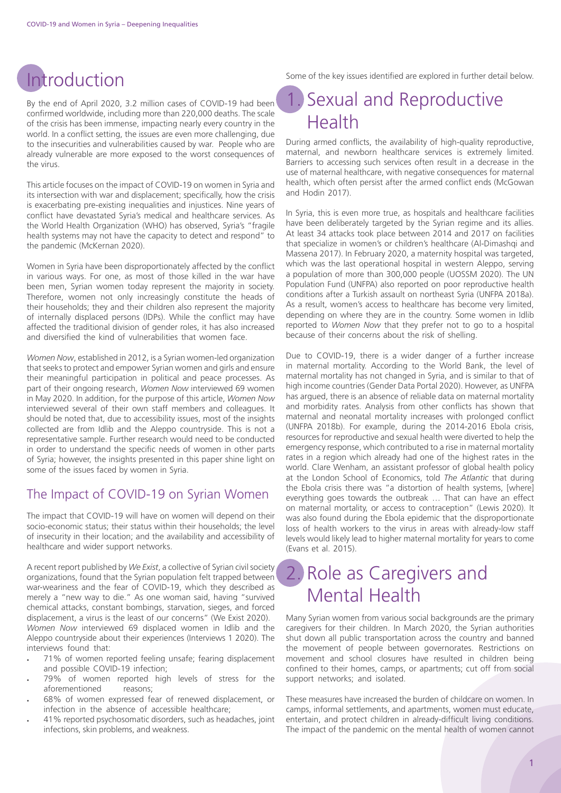#### Introduction

By the end of April 2020, 3.2 million cases of COVID-19 had been confirmed worldwide, including more than 220,000 deaths. The scale of the crisis has been immense, impacting nearly every country in the world. In a conflict setting, the issues are even more challenging, due to the insecurities and vulnerabilities caused by war. People who are already vulnerable are more exposed to the worst consequences of the virus.

This article focuses on the impact of COVID-19 on women in Syria and its intersection with war and displacement; specifically, how the crisis is exacerbating pre-existing inequalities and injustices. Nine years of conflict have devastated Syria's medical and healthcare services. As the World Health Organization (WHO) has observed, Syria's "fragile health systems may not have the capacity to detect and respond" to the pandemic (McKernan 2020).

Women in Syria have been disproportionately affected by the conflict in various ways. For one, as most of those killed in the war have been men, Syrian women today represent the majority in society. Therefore, women not only increasingly constitute the heads of their households; they and their children also represent the majority of internally displaced persons (IDPs). While the conflict may have affected the traditional division of gender roles, it has also increased and diversified the kind of vulnerabilities that women face.

*Women Now*, established in 2012, is a Syrian women-led organization that seeks to protect and empower Syrian women and girls and ensure their meaningful participation in political and peace processes. As part of their ongoing research, *Women Now* interviewed 69 women in May 2020. In addition, for the purpose of this article, *Women Now* interviewed several of their own staff members and colleagues. It should be noted that, due to accessibility issues, most of the insights collected are from Idlib and the Aleppo countryside. This is not a representative sample. Further research would need to be conducted in order to understand the specific needs of women in other parts of Syria; however, the insights presented in this paper shine light on some of the issues faced by women in Syria.

#### The Impact of COVID-19 on Syrian Women

The impact that COVID-19 will have on women will depend on their socio-economic status; their status within their households; the level of insecurity in their location; and the availability and accessibility of healthcare and wider support networks.

A recent report published by *We Exist*, a collective of Syrian civil society organizations, found that the Syrian population felt trapped between war-weariness and the fear of COVID-19, which they described as merely a "new way to die." As one woman said, having "survived chemical attacks, constant bombings, starvation, sieges, and forced displacement, a virus is the least of our concerns" (We Exist 2020). *Women Now* interviewed 69 displaced women in Idlib and the Aleppo countryside about their experiences (Interviews 1 2020). The interviews found that:

- 71% of women reported feeling unsafe; fearing displacement and possible COVID-19 infection;
- 79% of women reported high levels of stress for the aforementioned reasons; aforementioned
- 68% of women expressed fear of renewed displacement, or infection in the absence of accessible healthcare;
- 41% reported psychosomatic disorders, such as headaches, joint infections, skin problems, and weakness.

Some of the key issues identified are explored in further detail below.

#### Sexual and Reproductive Health

During armed conflicts, the availability of high-quality reproductive, maternal, and newborn healthcare services is extremely limited. Barriers to accessing such services often result in a decrease in the use of maternal healthcare, with negative consequences for maternal health, which often persist after the armed conflict ends (McGowan and Hodin 2017).

In Syria, this is even more true, as hospitals and healthcare facilities have been deliberately targeted by the Syrian regime and its allies. At least 34 attacks took place between 2014 and 2017 on facilities that specialize in women's or children's healthcare (Al-Dimashqi and Massena 2017). In February 2020, a maternity hospital was targeted, which was the last operational hospital in western Aleppo, serving a population of more than 300,000 people (UOSSM 2020). The UN Population Fund (UNFPA) also reported on poor reproductive health conditions after a Turkish assault on northeast Syria (UNFPA 2018a). As a result, women's access to healthcare has become very limited, depending on where they are in the country. Some women in Idlib reported to *Women Now* that they prefer not to go to a hospital because of their concerns about the risk of shelling.

Due to COVID-19, there is a wider danger of a further increase in maternal mortality. According to the World Bank, the level of maternal mortality has not changed in Syria, and is similar to that of high income countries (Gender Data Portal 2020). However, as UNFPA has argued, there is an absence of reliable data on maternal mortality and morbidity rates. Analysis from other conflicts has shown that maternal and neonatal mortality increases with prolonged conflict (UNFPA 2018b). For example, during the 2014-2016 Ebola crisis, resources for reproductive and sexual health were diverted to help the emergency response, which contributed to a rise in maternal mortality rates in a region which already had one of the highest rates in the world. Clare Wenham, an assistant professor of global health policy at the London School of Economics, told *The Atlantic* that during the Ebola crisis there was "a distortion of health systems, [where] everything goes towards the outbreak … That can have an effect on maternal mortality, or access to contraception" (Lewis 2020). It was also found during the Ebola epidemic that the disproportionate loss of health workers to the virus in areas with already-low staff levels would likely lead to higher maternal mortality for years to come (Evans et al. 2015).

#### 2. Role as Caregivers and Mental Health

Many Syrian women from various social backgrounds are the primary caregivers for their children. In March 2020, the Syrian authorities shut down all public transportation across the country and banned the movement of people between governorates. Restrictions on movement and school closures have resulted in children being confined to their homes, camps, or apartments; cut off from social support networks; and isolated.

These measures have increased the burden of childcare on women. In camps, informal settlements, and apartments, women must educate, entertain, and protect children in already-difficult living conditions. The impact of the pandemic on the mental health of women cannot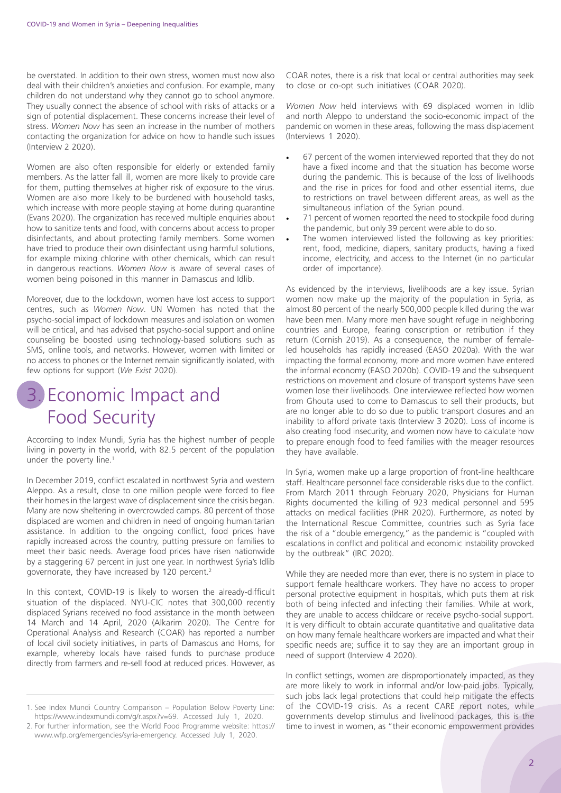be overstated. In addition to their own stress, women must now also deal with their children's anxieties and confusion. For example, many children do not understand why they cannot go to school anymore. They usually connect the absence of school with risks of attacks or a sign of potential displacement. These concerns increase their level of stress. *Women Now* has seen an increase in the number of mothers contacting the organization for advice on how to handle such issues (Interview 2 2020).

Women are also often responsible for elderly or extended family members. As the latter fall ill, women are more likely to provide care for them, putting themselves at higher risk of exposure to the virus. Women are also more likely to be burdened with household tasks, which increase with more people staying at home during quarantine (Evans 2020). The organization has received multiple enquiries about how to sanitize tents and food, with concerns about access to proper disinfectants, and about protecting family members. Some women have tried to produce their own disinfectant using harmful solutions, for example mixing chlorine with other chemicals, which can result in dangerous reactions. *Women Now* is aware of several cases of women being poisoned in this manner in Damascus and Idlib.

Moreover, due to the lockdown, women have lost access to support centres, such as *Women Now*. UN Women has noted that the psycho-social impact of lockdown measures and isolation on women will be critical, and has advised that psycho-social support and online counseling be boosted using technology-based solutions such as SMS, online tools, and networks. However, women with limited or no access to phones or the Internet remain significantly isolated, with few options for support (*We Exist* 2020).

#### 3. Economic Impact and Food Security

According to Index Mundi, Syria has the highest number of people living in poverty in the world, with 82.5 percent of the population under the poverty line.<sup>1</sup>

In December 2019, conflict escalated in northwest Syria and western Aleppo. As a result, close to one million people were forced to flee their homes in the largest wave of displacement since the crisis began. Many are now sheltering in overcrowded camps. 80 percent of those displaced are women and children in need of ongoing humanitarian assistance. In addition to the ongoing conflict, food prices have rapidly increased across the country, putting pressure on families to meet their basic needs. Average food prices have risen nationwide by a staggering 67 percent in just one year. In northwest Syria's Idlib governorate, they have increased by 120 percent.2

In this context, COVID-19 is likely to worsen the already-difficult situation of the displaced. NYU-CIC notes that 300,000 recently displaced Syrians received no food assistance in the month between 14 March and 14 April, 2020 (Alkarim 2020). The Centre for Operational Analysis and Research (COAR) has reported a number of local civil society initiatives, in parts of Damascus and Homs, for example, whereby locals have raised funds to purchase produce directly from farmers and re-sell food at reduced prices. However, as

COAR notes, there is a risk that local or central authorities may seek to close or co-opt such initiatives (COAR 2020).

*Women Now* held interviews with 69 displaced women in Idlib and north Aleppo to understand the socio-economic impact of the pandemic on women in these areas, following the mass displacement (Interviews 1 2020).

- 67 percent of the women interviewed reported that they do not have a fixed income and that the situation has become worse during the pandemic. This is because of the loss of livelihoods and the rise in prices for food and other essential items, due to restrictions on travel between different areas, as well as the simultaneous inflation of the Syrian pound.
- 71 percent of women reported the need to stockpile food during the pandemic, but only 39 percent were able to do so.
- The women interviewed listed the following as key priorities: rent, food, medicine, diapers, sanitary products, having a fixed income, electricity, and access to the Internet (in no particular order of importance).

As evidenced by the interviews, livelihoods are a key issue. Syrian women now make up the majority of the population in Syria, as almost 80 percent of the nearly 500,000 people killed during the war have been men. Many more men have sought refuge in neighboring countries and Europe, fearing conscription or retribution if they return (Cornish 2019). As a consequence, the number of femaleled households has rapidly increased (EASO 2020a). With the war impacting the formal economy, more and more women have entered the informal economy (EASO 2020b). COVID-19 and the subsequent restrictions on movement and closure of transport systems have seen women lose their livelihoods. One interviewee reflected how women from Ghouta used to come to Damascus to sell their products, but are no longer able to do so due to public transport closures and an inability to afford private taxis (Interview 3 2020). Loss of income is also creating food insecurity, and women now have to calculate how to prepare enough food to feed families with the meager resources they have available.

In Syria, women make up a large proportion of front-line healthcare staff. Healthcare personnel face considerable risks due to the conflict. From March 2011 through February 2020, Physicians for Human Rights documented the killing of 923 medical personnel and 595 attacks on medical facilities (PHR 2020). Furthermore, as noted by the International Rescue Committee, countries such as Syria face the risk of a "double emergency," as the pandemic is "coupled with escalations in conflict and political and economic instability provoked by the outbreak" (IRC 2020).

While they are needed more than ever, there is no system in place to support female healthcare workers. They have no access to proper personal protective equipment in hospitals, which puts them at risk both of being infected and infecting their families. While at work, they are unable to access childcare or receive psycho-social support. It is very difficult to obtain accurate quantitative and qualitative data on how many female healthcare workers are impacted and what their specific needs are; suffice it to say they are an important group in need of support (Interview 4 2020).

In conflict settings, women are disproportionately impacted, as they are more likely to work in informal and/or low-paid jobs. Typically, such jobs lack legal protections that could help mitigate the effects of the COVID-19 crisis. As a recent CARE report notes, while governments develop stimulus and livelihood packages, this is the time to invest in women, as "their economic empowerment provides

<sup>1.</sup> See Index Mundi Country Comparison – Population Below Poverty Line: https://www.indexmundi.com/g/r.aspx?v=69. Accessed July 1, 2020.

<sup>2.</sup> For further information, see the World Food Programme website: https:// www.wfp.org/emergencies/syria-emergency. Accessed July 1, 2020.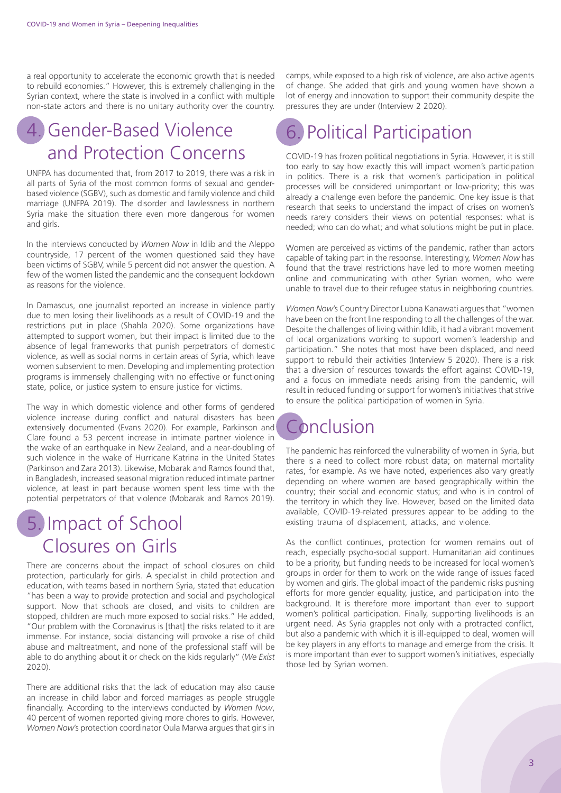a real opportunity to accelerate the economic growth that is needed to rebuild economies." However, this is extremely challenging in the Syrian context, where the state is involved in a conflict with multiple non-state actors and there is no unitary authority over the country.

#### 4. Gender-Based Violence and Protection Concerns

UNFPA has documented that, from 2017 to 2019, there was a risk in all parts of Syria of the most common forms of sexual and genderbased violence (SGBV), such as domestic and family violence and child marriage (UNFPA 2019). The disorder and lawlessness in northern Syria make the situation there even more dangerous for women and girls.

In the interviews conducted by *Women Now* in Idlib and the Aleppo countryside, 17 percent of the women questioned said they have been victims of SGBV, while 5 percent did not answer the question. A few of the women listed the pandemic and the consequent lockdown as reasons for the violence.

In Damascus, one journalist reported an increase in violence partly due to men losing their livelihoods as a result of COVID-19 and the restrictions put in place (Shahla 2020). Some organizations have attempted to support women, but their impact is limited due to the absence of legal frameworks that punish perpetrators of domestic violence, as well as social norms in certain areas of Syria, which leave women subservient to men. Developing and implementing protection programs is immensely challenging with no effective or functioning state, police, or justice system to ensure justice for victims.

The way in which domestic violence and other forms of gendered violence increase during conflict and natural disasters has been extensively documented (Evans 2020). For example, Parkinson and Clare found a 53 percent increase in intimate partner violence in the wake of an earthquake in New Zealand, and a near-doubling of such violence in the wake of Hurricane Katrina in the United States (Parkinson and Zara 2013). Likewise, Mobarak and Ramos found that, in Bangladesh, increased seasonal migration reduced intimate partner violence, at least in part because women spent less time with the potential perpetrators of that violence (Mobarak and Ramos 2019).

#### 5. Impact of School Closures on Girls

There are concerns about the impact of school closures on child protection, particularly for girls. A specialist in child protection and education, with teams based in northern Syria, stated that education "has been a way to provide protection and social and psychological support. Now that schools are closed, and visits to children are stopped, children are much more exposed to social risks." He added, "Our problem with the Coronavirus is [that] the risks related to it are immense. For instance, social distancing will provoke a rise of child abuse and maltreatment, and none of the professional staff will be able to do anything about it or check on the kids regularly" (*We Exist* 2020).

There are additional risks that the lack of education may also cause an increase in child labor and forced marriages as people struggle financially. According to the interviews conducted by *Women Now*, 40 percent of women reported giving more chores to girls. However, *Women Now*'s protection coordinator Oula Marwa argues that girls in camps, while exposed to a high risk of violence, are also active agents of change. She added that girls and young women have shown a lot of energy and innovation to support their community despite the pressures they are under (Interview 2 2020).

### 6. Political Participation

COVID-19 has frozen political negotiations in Syria. However, it is still too early to say how exactly this will impact women's participation in politics. There is a risk that women's participation in political processes will be considered unimportant or low-priority; this was already a challenge even before the pandemic. One key issue is that research that seeks to understand the impact of crises on women's needs rarely considers their views on potential responses: what is needed; who can do what; and what solutions might be put in place.

Women are perceived as victims of the pandemic, rather than actors capable of taking part in the response. Interestingly, *Women Now* has found that the travel restrictions have led to more women meeting online and communicating with other Syrian women, who were unable to travel due to their refugee status in neighboring countries.

*Women Now*'s Country Director Lubna Kanawati argues that "women have been on the front line responding to all the challenges of the war. Despite the challenges of living within Idlib, it had a vibrant movement of local organizations working to support women's leadership and participation." She notes that most have been displaced, and need support to rebuild their activities (Interview 5 2020). There is a risk that a diversion of resources towards the effort against COVID-19, and a focus on immediate needs arising from the pandemic, will result in reduced funding or support for women's initiatives that strive to ensure the political participation of women in Syria.

#### Conclusion

The pandemic has reinforced the vulnerability of women in Syria, but there is a need to collect more robust data; on maternal mortality rates, for example. As we have noted, experiences also vary greatly depending on where women are based geographically within the country; their social and economic status; and who is in control of the territory in which they live. However, based on the limited data available, COVID-19-related pressures appear to be adding to the existing trauma of displacement, attacks, and violence.

As the conflict continues, protection for women remains out of reach, especially psycho-social support. Humanitarian aid continues to be a priority, but funding needs to be increased for local women's groups in order for them to work on the wide range of issues faced by women and girls. The global impact of the pandemic risks pushing efforts for more gender equality, justice, and participation into the background. It is therefore more important than ever to support women's political participation. Finally, supporting livelihoods is an urgent need. As Syria grapples not only with a protracted conflict, but also a pandemic with which it is ill-equipped to deal, women will be key players in any efforts to manage and emerge from the crisis. It is more important than ever to support women's initiatives, especially those led by Syrian women.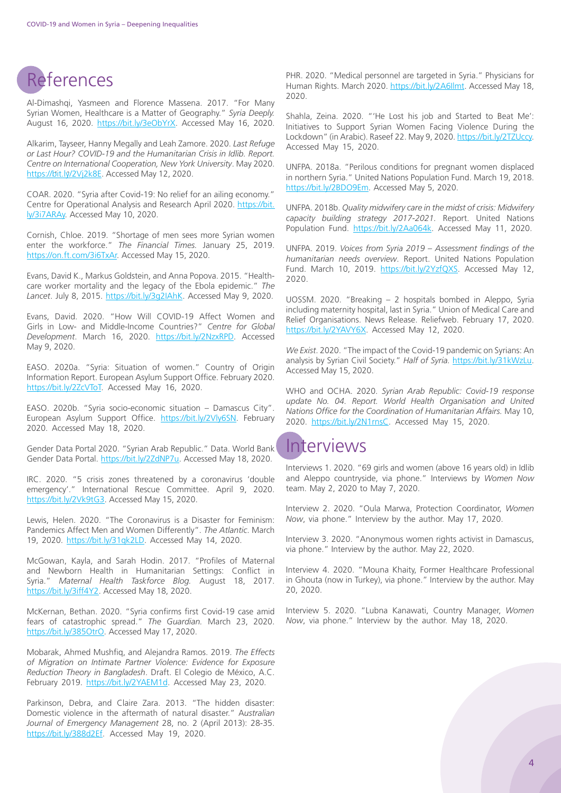#### References

Al-Dimashqi, Yasmeen and Florence Massena. 2017. "For Many Syrian Women, Healthcare is a Matter of Geography." *Syria Deeply.*  August 16, 2020. <https://bit.ly/3eObYrX>. Accessed May 16, 2020.

Alkarim, Tayseer, Hanny Megally and Leah Zamore. 2020. *Last Refuge or Last Hour? COVID-19 and the Humanitarian Crisis in Idlib. Report. Centre on International Cooperation, New York University*. May 2020. [https://bit.ly/2Vj2k8E.](https://bit.ly/2Vj2k8E) Accessed May 12, 2020.

COAR. 2020. "Syria after Covid-19: No relief for an ailing economy." Centre for Operational Analysis and Research April 2020. [https://bit.](https://bit.ly/3i7ARAy) [ly/3i7ARAy.](https://bit.ly/3i7ARAy) Accessed May 10, 2020.

Cornish, Chloe. 2019. "Shortage of men sees more Syrian women enter the workforce." *The Financial Times.* January 25, 2019. <https://on.ft.com/3i6TxAr>. Accessed May 15, 2020.

Evans, David K., Markus Goldstein, and Anna Popova. 2015. "Healthcare worker mortality and the legacy of the Ebola epidemic." *The Lancet*. July 8, 2015. [https://bit.ly/3g2IAhK.](https://bit.ly/3g2IAhK) Accessed May 9, 2020.

Evans, David. 2020. "How Will COVID-19 Affect Women and Girls in Low- and Middle-Income Countries?" *Centre for Global Development*. March 16, 2020. <https://bit.ly/2NzxRPD>. Accessed May 9, 2020.

EASO. 2020a. "Syria: Situation of women." Country of Origin Information Report. European Asylum Support Office. February 2020. <https://bit.ly/2ZcVToT>. Accessed May 16, 2020.

EASO. 2020b. "Syria socio-economic situation – Damascus City". European Asylum Support Office. [https://bit.ly/2Vly6SN.](https://bit.ly/2Vly6SN) February 2020. Accessed May 18, 2020.

Gender Data Portal 2020. "Syrian Arab Republic." Data. World Bank Gender Data Portal. <https://bit.ly/2ZdNP7u>. Accessed May 18, 2020.

IRC. 2020. "5 crisis zones threatened by a coronavirus 'double emergency'." International Rescue Committee. April 9, 2020. [https://bit.ly/2Vk9tG3.](https://bit.ly/2Vk9tG3) Accessed May 15, 2020.

Lewis, Helen. 2020. "The Coronavirus is a Disaster for Feminism: Pandemics Affect Men and Women Differently". *The Atlantic*. March 19, 2020. <https://bit.ly/31qk2LD>. Accessed May 14, 2020.

McGowan, Kayla, and Sarah Hodin. 2017. "Profiles of Maternal and Newborn Health in Humanitarian Settings: Conflict in Syria." *Maternal Health Taskforce Blog.* August 18, 2017. [https://bit.ly/3iff4Y2.](https://bit.ly/3iff4Y2) Accessed May 18, 2020.

McKernan, Bethan. 2020. "Syria confirms first Covid-19 case amid fears of catastrophic spread." *The Guardian.* March 23, 2020. <https://bit.ly/385OtrO>. Accessed May 17, 2020.

Mobarak, Ahmed Mushfiq, and Alejandra Ramos. 2019. *The Effects of Migration on Intimate Partner Violence: Evidence for Exposure Reduction Theory in Bangladesh*. Draft. El Colegio de México, A.C. February 2019. [https://bit.ly/2YAEM1d.](https://bit.ly/2YAEM1d) Accessed May 23, 2020.

Parkinson, Debra, and Claire Zara. 2013. "The hidden disaster: Domestic violence in the aftermath of natural disaster." A*ustralian Journal of Emergency Management* 28, no. 2 (April 2013): 28-35. [https://bit.ly/388d2Ef.](https://bit.ly/388d2Ef) Accessed May 19, 2020.

PHR. 2020. "Medical personnel are targeted in Syria." Physicians for Human Rights. March 2020. [https://bit.ly/2A6Ilmt.](https://bit.ly/2A6Ilmt) Accessed May 18, 2020.

Shahla, Zeina. 2020. "'He Lost his job and Started to Beat Me': Initiatives to Support Syrian Women Facing Violence During the Lockdown" (in Arabic). Raseef 22. May 9, 2020.<https://bit.ly/2TZUccy>. Accessed May 15, 2020.

UNFPA. 2018a. "Perilous conditions for pregnant women displaced in northern Syria." United Nations Population Fund. March 19, 2018. <https://bit.ly/2BDO9Em>. Accessed May 5, 2020.

UNFPA. 2018b. *Quality midwifery care in the midst of crisis: Midwifery capacity building strategy 2017-2021.* Report. United Nations Population Fund. <https://bit.ly/2Aa064k>. Accessed May 11, 2020.

UNFPA. 2019. *Voices from Syria 2019 – Assessment findings of the humanitarian needs overview*. Report. United Nations Population Fund. March 10, 2019. [https://bit.ly/2YzfQXS.](https://bit.ly/2YzfQXS) Accessed May 12, 2020.

UOSSM. 2020. "Breaking – 2 hospitals bombed in Aleppo, Syria including maternity hospital, last in Syria." Union of Medical Care and Relief Organisations. News Release. Reliefweb. February 17, 2020. <https://bit.ly/2YAVY6X>. Accessed May 12, 2020.

*We Exist*. 2020. "The impact of the Covid-19 pandemic on Syrians: An analysis by Syrian Civil Society." *Half of Syria.* <https://bit.ly/31kWzLu>. Accessed May 15, 2020.

WHO and OCHA. 2020. *Syrian Arab Republic: Covid-19 response*  update No. 04. Report. World Health Organisation and United *Nations Office for the Coordination of Humanitarian Affairs.* May 10, 2020. <https://bit.ly/2N1rnsC>. Accessed May 15, 2020.

#### **Interviews**

Interviews 1. 2020. "69 girls and women (above 16 years old) in Idlib and Aleppo countryside, via phone." Interviews by *Women Now* team. May 2, 2020 to May 7, 2020.

Interview 2. 2020. "Oula Marwa, Protection Coordinator, *Women Now*, via phone." Interview by the author. May 17, 2020.

Interview 3. 2020. "Anonymous women rights activist in Damascus, via phone." Interview by the author. May 22, 2020.

Interview 4. 2020. "Mouna Khaity, Former Healthcare Professional in Ghouta (now in Turkey), via phone." Interview by the author. May 20, 2020.

Interview 5. 2020. "Lubna Kanawati, Country Manager, *Women Now*, via phone." Interview by the author. May 18, 2020.